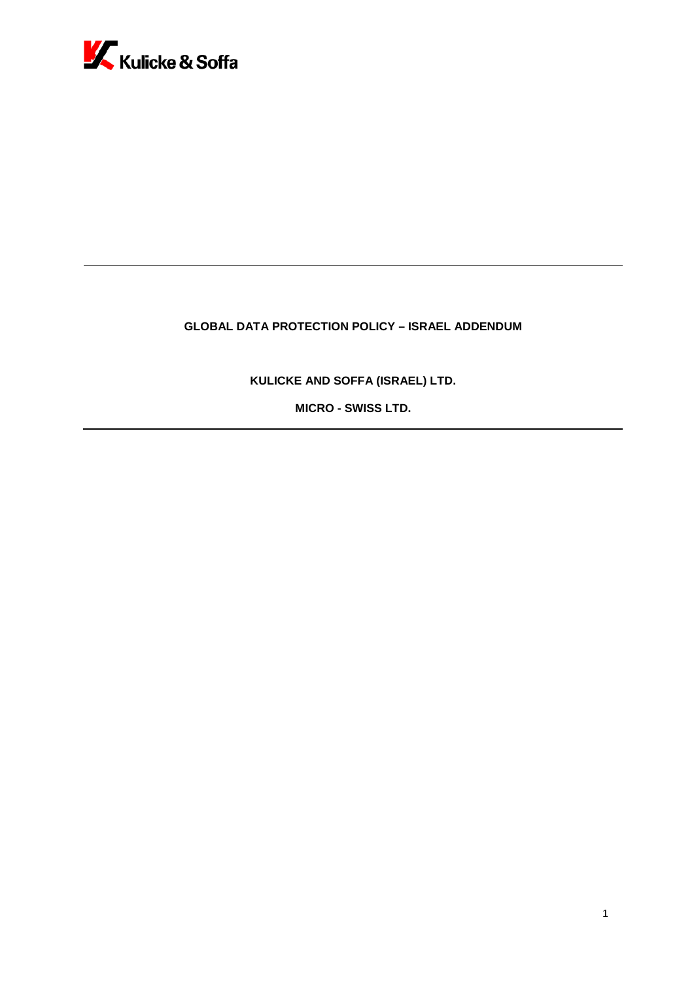

# **GLOBAL DATA PROTECTION POLICY – ISRAEL ADDENDUM**

**KULICKE AND SOFFA (ISRAEL) LTD.**

**MICRO - SWISS LTD.**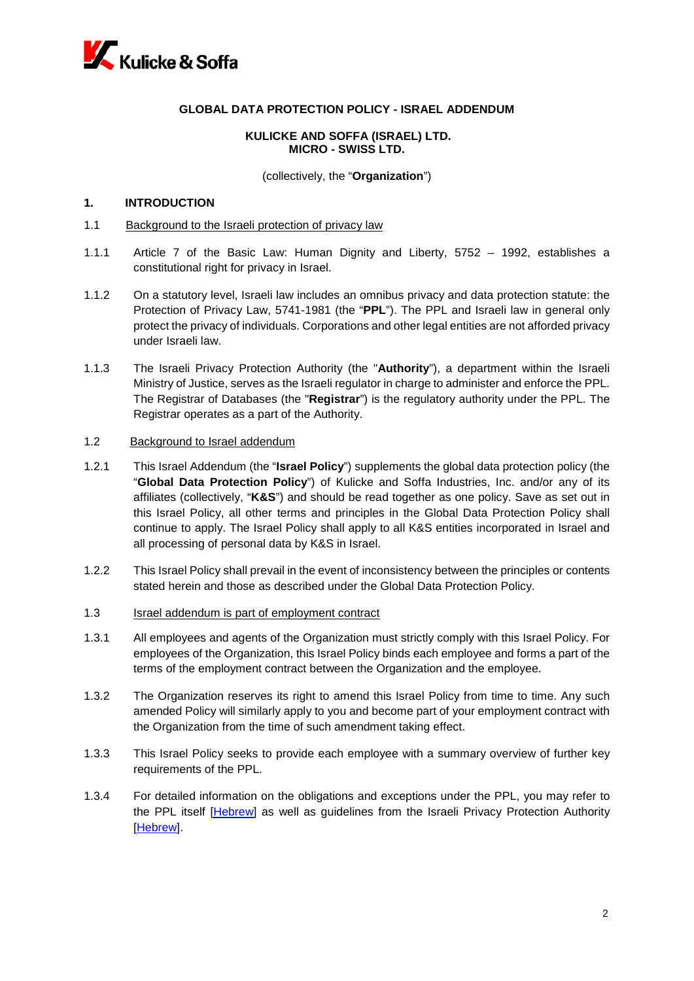

# **GLOBAL DATA PROTECTION POLICY - ISRAEL ADDENDUM**

# **KULICKE AND SOFFA (ISRAEL) LTD. MICRO - SWISS LTD.**

(collectively, the "**Organization**")

# **1. INTRODUCTION**

- 1.1 Background to the Israeli protection of privacy law
- 1.1.1 Article 7 of the Basic Law: Human Dignity and Liberty, 5752 1992, establishes a constitutional right for privacy in Israel.
- 1.1.2 On a statutory level, Israeli law includes an omnibus privacy and data protection statute: the Protection of Privacy Law, 5741-1981 (the "**PPL**"). The PPL and Israeli law in general only protect the privacy of individuals. Corporations and other legal entities are not afforded privacy under Israeli law.
- 1.1.3 The Israeli Privacy Protection Authority (the "**Authority**"), a department within the Israeli Ministry of Justice, serves as the Israeli regulator in charge to administer and enforce the PPL. The Registrar of Databases (the "**Registrar**") is the regulatory authority under the PPL. The Registrar operates as a part of the Authority.

### 1.2 Background to Israel addendum

- 1.2.1 This Israel Addendum (the "**Israel Policy**") supplements the global data protection policy (the "**Global Data Protection Policy**") of Kulicke and Soffa Industries, Inc. and/or any of its affiliates (collectively, "**K&S**") and should be read together as one policy. Save as set out in this Israel Policy, all other terms and principles in the Global Data Protection Policy shall continue to apply. The Israel Policy shall apply to all K&S entities incorporated in Israel and all processing of personal data by K&S in Israel.
- 1.2.2 This Israel Policy shall prevail in the event of inconsistency between the principles or contents stated herein and those as described under the Global Data Protection Policy.
- 1.3 Israel addendum is part of employment contract
- 1.3.1 All employees and agents of the Organization must strictly comply with this Israel Policy. For employees of the Organization, this Israel Policy binds each employee and forms a part of the terms of the employment contract between the Organization and the employee.
- 1.3.2 The Organization reserves its right to amend this Israel Policy from time to time. Any such amended Policy will similarly apply to you and become part of your employment contract with the Organization from the time of such amendment taking effect.
- 1.3.3 This Israel Policy seeks to provide each employee with a summary overview of further key requirements of the PPL.
- 1.3.4 For detailed information on the obligations and exceptions under the PPL, you may refer to the PPL itself [\[Hebrew\]](https://www.nevo.co.il/laws/#/6021751732f7ce6c3ec67671) as well as quidelines from the Israeli Privacy Protection Authority [\[Hebrew\]](https://www.gov.il/he/departments/policies/?OfficeId=4aadba43-3d71-4e7c-a4fe-5bf47b723d4e&policyType=2efa9b53-5df9-4df9-8e9d-21134511f368&limit=10).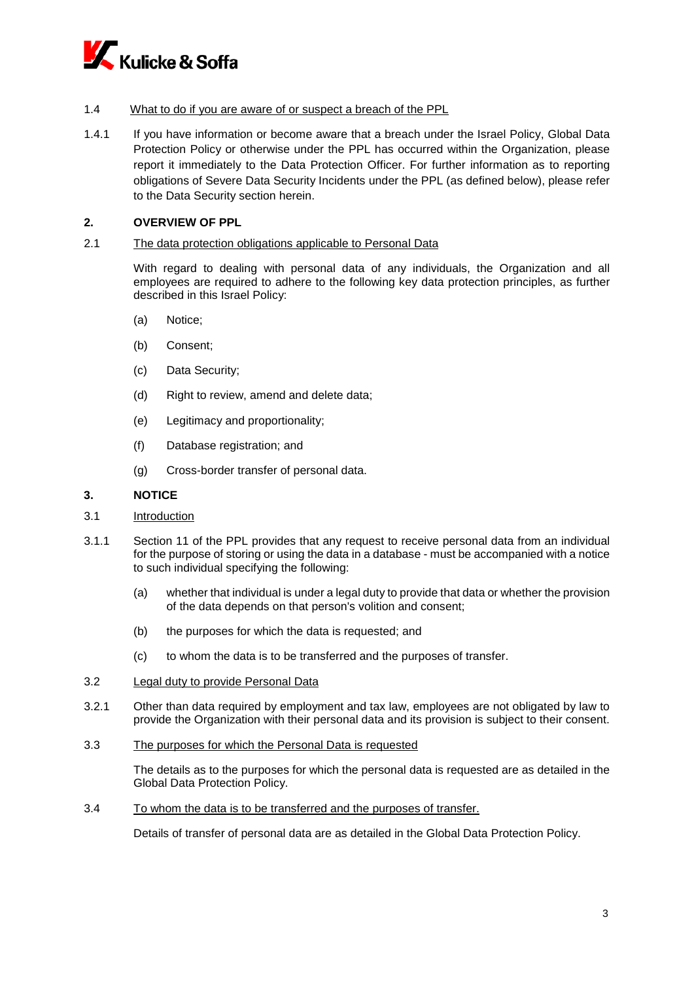

# 1.4 What to do if you are aware of or suspect a breach of the PPL

1.4.1 If you have information or become aware that a breach under the Israel Policy, Global Data Protection Policy or otherwise under the PPL has occurred within the Organization, please report it immediately to the Data Protection Officer. For further information as to reporting obligations of Severe Data Security Incidents under the PPL (as defined below), please refer to the Data Security section herein.

# **2. OVERVIEW OF PPL**

#### 2.1 The data protection obligations applicable to Personal Data

With regard to dealing with personal data of any individuals, the Organization and all employees are required to adhere to the following key data protection principles, as further described in this Israel Policy:

- (a) Notice;
- (b) Consent;
- (c) Data Security;
- (d) Right to review, amend and delete data;
- (e) Legitimacy and proportionality;
- (f) Database registration; and
- (g) Cross-border transfer of personal data.

#### **3. NOTICE**

- 3.1 Introduction
- 3.1.1 Section 11 of the PPL provides that any request to receive personal data from an individual for the purpose of storing or using the data in a database - must be accompanied with a notice to such individual specifying the following:
	- (a) whether that individual is under a legal duty to provide that data or whether the provision of the data depends on that person's volition and consent;
	- (b) the purposes for which the data is requested; and
	- (c) to whom the data is to be transferred and the purposes of transfer.
- 3.2 Legal duty to provide Personal Data
- 3.2.1 Other than data required by employment and tax law, employees are not obligated by law to provide the Organization with their personal data and its provision is subject to their consent.
- 3.3 The purposes for which the Personal Data is requested

The details as to the purposes for which the personal data is requested are as detailed in the Global Data Protection Policy.

# 3.4 To whom the data is to be transferred and the purposes of transfer.

Details of transfer of personal data are as detailed in the Global Data Protection Policy.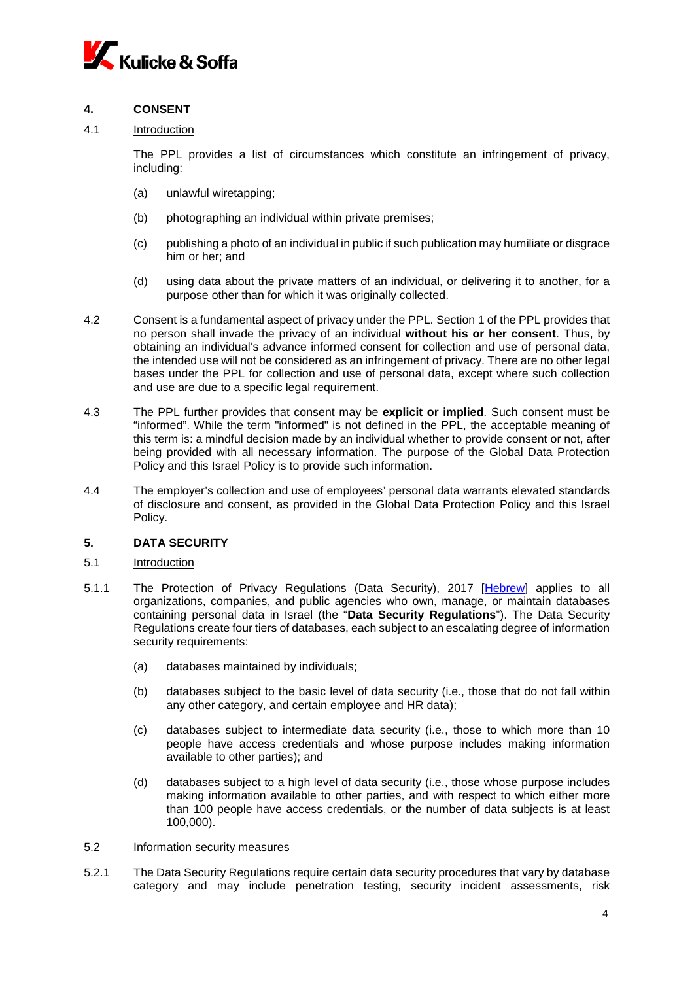

# **4. CONSENT**

# 4.1 Introduction

The PPL provides a list of circumstances which constitute an infringement of privacy, including:

- (a) unlawful wiretapping;
- (b) photographing an individual within private premises;
- (c) publishing a photo of an individual in public if such publication may humiliate or disgrace him or her; and
- (d) using data about the private matters of an individual, or delivering it to another, for a purpose other than for which it was originally collected.
- 4.2 Consent is a fundamental aspect of privacy under the PPL. Section 1 of the PPL provides that no person shall invade the privacy of an individual **without his or her consent**. Thus, by obtaining an individual's advance informed consent for collection and use of personal data, the intended use will not be considered as an infringement of privacy. There are no other legal bases under the PPL for collection and use of personal data, except where such collection and use are due to a specific legal requirement.
- 4.3 The PPL further provides that consent may be **explicit or implied**. Such consent must be "informed". While the term "informed" is not defined in the PPL, the acceptable meaning of this term is: a mindful decision made by an individual whether to provide consent or not, after being provided with all necessary information. The purpose of the Global Data Protection Policy and this Israel Policy is to provide such information.
- 4.4 The employer's collection and use of employees' personal data warrants elevated standards of disclosure and consent, as provided in the Global Data Protection Policy and this Israel Policy.

# **5. DATA SECURITY**

#### 5.1 Introduction

- 5.1.1 The Protection of Privacy Regulations (Data Security), 2017 [\[Hebrew\]](https://www.nevo.co.il/laws/#/603e6698315508eb664889c3) applies to all organizations, companies, and public agencies who own, manage, or maintain databases containing personal data in Israel (the "**Data Security Regulations**"). The Data Security Regulations create four tiers of databases, each subject to an escalating degree of information security requirements:
	- (a) databases maintained by individuals;
	- (b) databases subject to the basic level of data security (i.e., those that do not fall within any other category, and certain employee and HR data);
	- (c) databases subject to intermediate data security (i.e., those to which more than 10 people have access credentials and whose purpose includes making information available to other parties); and
	- (d) databases subject to a high level of data security (i.e., those whose purpose includes making information available to other parties, and with respect to which either more than 100 people have access credentials, or the number of data subjects is at least 100,000).

### 5.2 Information security measures

5.2.1 The Data Security Regulations require certain data security procedures that vary by database category and may include penetration testing, security incident assessments, risk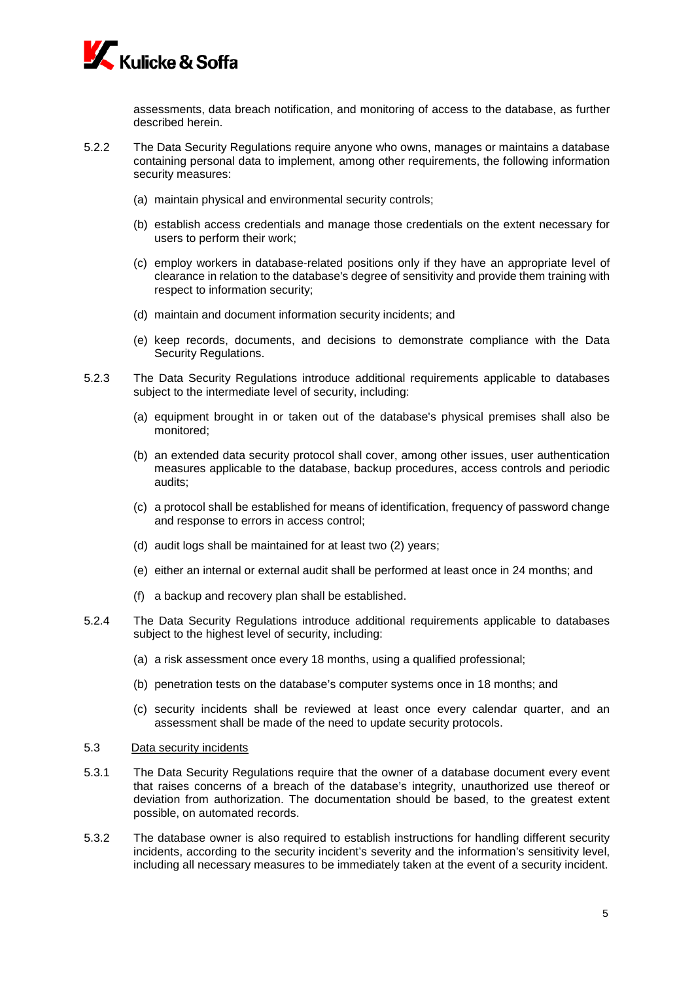

assessments, data breach notification, and monitoring of access to the database, as further described herein.

- 5.2.2 The Data Security Regulations require anyone who owns, manages or maintains a database containing personal data to implement, among other requirements, the following information security measures:
	- (a) maintain physical and environmental security controls;
	- (b) establish access credentials and manage those credentials on the extent necessary for users to perform their work;
	- (c) employ workers in database-related positions only if they have an appropriate level of clearance in relation to the database's degree of sensitivity and provide them training with respect to information security;
	- (d) maintain and document information security incidents; and
	- (e) keep records, documents, and decisions to demonstrate compliance with the Data Security Regulations.
- 5.2.3 The Data Security Regulations introduce additional requirements applicable to databases subject to the intermediate level of security, including:
	- (a) equipment brought in or taken out of the database's physical premises shall also be monitored;
	- (b) an extended data security protocol shall cover, among other issues, user authentication measures applicable to the database, backup procedures, access controls and periodic audits;
	- (c) a protocol shall be established for means of identification, frequency of password change and response to errors in access control;
	- (d) audit logs shall be maintained for at least two (2) years;
	- (e) either an internal or external audit shall be performed at least once in 24 months; and
	- (f) a backup and recovery plan shall be established.
- 5.2.4 The Data Security Regulations introduce additional requirements applicable to databases subject to the highest level of security, including:
	- (a) a risk assessment once every 18 months, using a qualified professional;
	- (b) penetration tests on the database's computer systems once in 18 months; and
	- (c) security incidents shall be reviewed at least once every calendar quarter, and an assessment shall be made of the need to update security protocols.
- 5.3 Data security incidents
- 5.3.1 The Data Security Regulations require that the owner of a database document every event that raises concerns of a breach of the database's integrity, unauthorized use thereof or deviation from authorization. The documentation should be based, to the greatest extent possible, on automated records.
- 5.3.2 The database owner is also required to establish instructions for handling different security incidents, according to the security incident's severity and the information's sensitivity level, including all necessary measures to be immediately taken at the event of a security incident.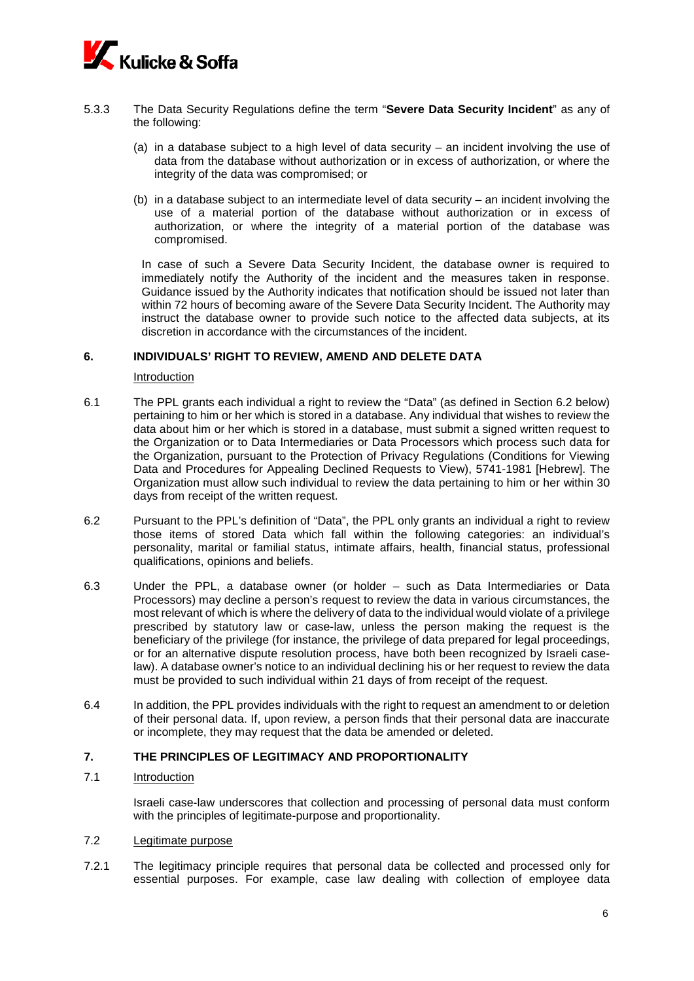

- 5.3.3 The Data Security Regulations define the term "**Severe Data Security Incident**" as any of the following:
	- (a) in a database subject to a high level of data security  $-$  an incident involving the use of data from the database without authorization or in excess of authorization, or where the integrity of the data was compromised; or
	- (b) in a database subject to an intermediate level of data security an incident involving the use of a material portion of the database without authorization or in excess of authorization, or where the integrity of a material portion of the database was compromised.

In case of such a Severe Data Security Incident, the database owner is required to immediately notify the Authority of the incident and the measures taken in response. Guidance issued by the Authority indicates that notification should be issued not later than within 72 hours of becoming aware of the Severe Data Security Incident. The Authority may instruct the database owner to provide such notice to the affected data subjects, at its discretion in accordance with the circumstances of the incident.

### **6. INDIVIDUALS' RIGHT TO REVIEW, AMEND AND DELETE DATA**

Introduction

- 6.1 The PPL grants each individual a right to review the "Data" (as defined in Section 6.2 below) pertaining to him or her which is stored in a database. Any individual that wishes to review the data about him or her which is stored in a database, must submit a signed written request to the Organization or to Data Intermediaries or Data Processors which process such data for the Organization, pursuant to the Protection of Privacy Regulations (Conditions for Viewing Data and Procedures for Appealing Declined Requests to View), 5741-1981 [\[Hebrew\]](https://www.nevo.co.il/laws/#/603691a2315508eb66487310). The Organization must allow such individual to review the data pertaining to him or her within 30 days from receipt of the written request.
- 6.2 Pursuant to the PPL's definition of "Data", the PPL only grants an individual a right to review those items of stored Data which fall within the following categories: an individual's personality, marital or familial status, intimate affairs, health, financial status, professional qualifications, opinions and beliefs.
- 6.3 Under the PPL, a database owner (or holder such as Data Intermediaries or Data Processors) may decline a person's request to review the data in various circumstances, the most relevant of which is where the delivery of data to the individual would violate of a privilege prescribed by statutory law or case-law, unless the person making the request is the beneficiary of the privilege (for instance, the privilege of data prepared for legal proceedings, or for an alternative dispute resolution process, have both been recognized by Israeli caselaw). A database owner's notice to an individual declining his or her request to review the data must be provided to such individual within 21 days of from receipt of the request.
- 6.4 In addition, the PPL provides individuals with the right to request an amendment to or deletion of their personal data. If, upon review, a person finds that their personal data are inaccurate or incomplete, they may request that the data be amended or deleted.

# **7. THE PRINCIPLES OF LEGITIMACY AND PROPORTIONALITY**

# 7.1 Introduction

Israeli case-law underscores that collection and processing of personal data must conform with the principles of legitimate-purpose and proportionality.

# 7.2 Legitimate purpose

7.2.1 The legitimacy principle requires that personal data be collected and processed only for essential purposes. For example, case law dealing with collection of employee data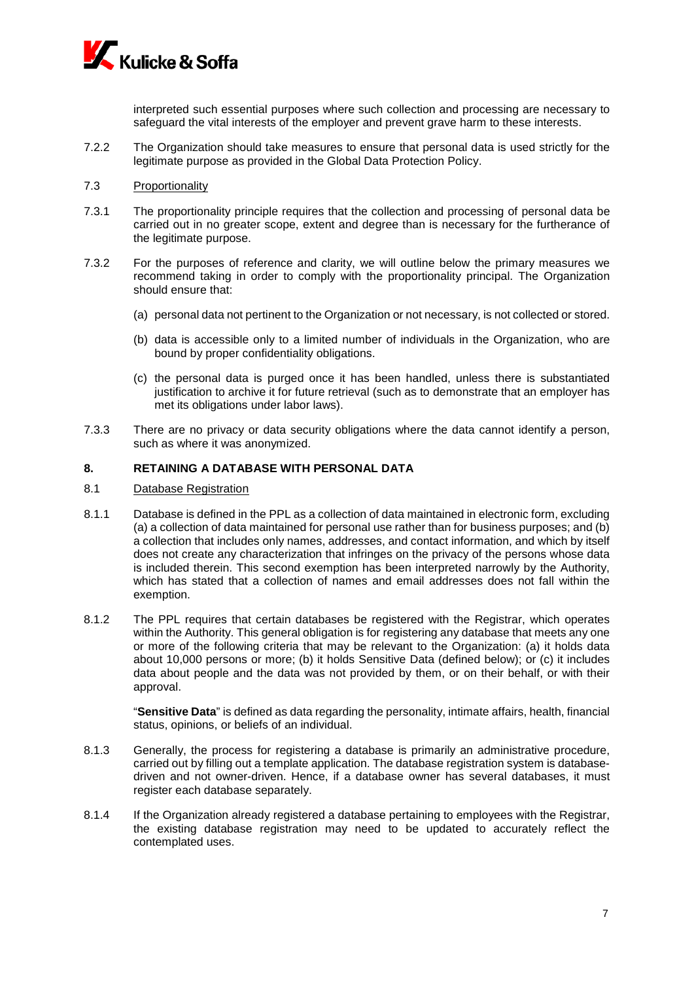

interpreted such essential purposes where such collection and processing are necessary to safeguard the vital interests of the employer and prevent grave harm to these interests.

- 7.2.2 The Organization should take measures to ensure that personal data is used strictly for the legitimate purpose as provided in the Global Data Protection Policy.
- 7.3 Proportionality
- 7.3.1 The proportionality principle requires that the collection and processing of personal data be carried out in no greater scope, extent and degree than is necessary for the furtherance of the legitimate purpose.
- 7.3.2 For the purposes of reference and clarity, we will outline below the primary measures we recommend taking in order to comply with the proportionality principal. The Organization should ensure that:
	- (a) personal data not pertinent to the Organization or not necessary, is not collected or stored.
	- (b) data is accessible only to a limited number of individuals in the Organization, who are bound by proper confidentiality obligations.
	- (c) the personal data is purged once it has been handled, unless there is substantiated justification to archive it for future retrieval (such as to demonstrate that an employer has met its obligations under labor laws).
- 7.3.3 There are no privacy or data security obligations where the data cannot identify a person, such as where it was anonymized.

## **8. RETAINING A DATABASE WITH PERSONAL DATA**

#### 8.1 Database Registration

- 8.1.1 Database is defined in the PPL as a collection of data maintained in electronic form, excluding (a) a collection of data maintained for personal use rather than for business purposes; and (b) a collection that includes only names, addresses, and contact information, and which by itself does not create any characterization that infringes on the privacy of the persons whose data is included therein. This second exemption has been interpreted narrowly by the Authority, which has stated that a collection of names and email addresses does not fall within the exemption.
- 8.1.2 The PPL requires that certain databases be registered with the Registrar, which operates within the Authority. This general obligation is for registering any database that meets any one or more of the following criteria that may be relevant to the Organization: (a) it holds data about 10,000 persons or more; (b) it holds Sensitive Data (defined below); or (c) it includes data about people and the data was not provided by them, or on their behalf, or with their approval.

"**Sensitive Data**" is defined as data regarding the personality, intimate affairs, health, financial status, opinions, or beliefs of an individual.

- 8.1.3 Generally, the process for registering a database is primarily an administrative procedure, carried out by filling out a template application. The database registration system is databasedriven and not owner-driven. Hence, if a database owner has several databases, it must register each database separately.
- 8.1.4 If the Organization already registered a database pertaining to employees with the Registrar, the existing database registration may need to be updated to accurately reflect the contemplated uses.